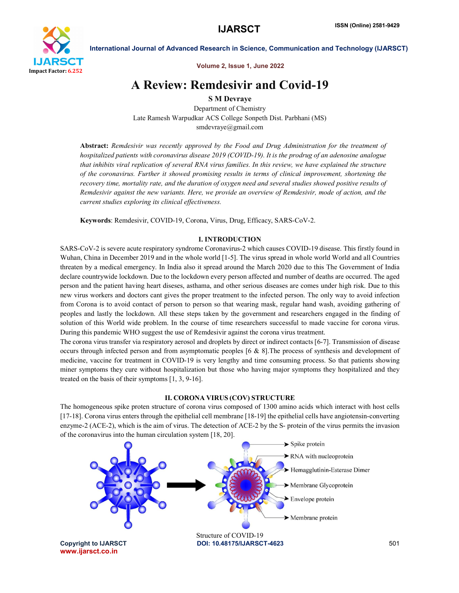

Volume 2, Issue 1, June 2022

# A Review: Remdesivir and Covid-19

S M Devraye

Department of Chemistry Late Ramesh Warpudkar ACS College Sonpeth Dist. Parbhani (MS) smdevraye@gmail.com

Abstract: *Remdesivir was recently approved by the Food and Drug Administration for the treatment of hospitalized patients with coronavirus disease 2019 (COVID-19). It is the prodrug of an adenosine analogue that inhibits viral replication of several RNA virus families. In this review, we have explained the structure of the coronavirus. Further it showed promising results in terms of clinical improvement, shortening the recovery time, mortality rate, and the duration of oxygen need and several studies showed positive results of Remdesivir against the new variants. Here, we provide an overview of Remdesivir, mode of action, and the current studies exploring its clinical effectiveness.*

Keywords: Remdesivir, COVID-19, Corona, Virus, Drug, Efficacy, SARS-CoV-2.

# I. INTRODUCTION

SARS-CoV-2 is severe acute respiratory syndrome Coronavirus-2 which causes COVID-19 disease. This firstly found in Wuhan, China in December 2019 and in the whole world [1-5]. The virus spread in whole world World and all Countries threaten by a medical emergency. In India also it spread around the March 2020 due to this The Government of India declare countrywide lockdown. Due to the lockdown every person affected and number of deaths are occurred. The aged person and the patient having heart diseses, asthama, and other serious diseases are comes under high risk. Due to this new virus workers and doctors cant gives the proper treatment to the infected person. The only way to avoid infection from Corona is to avoid contact of person to person so that wearing mask, regular hand wash, avoiding gathering of peoples and lastly the lockdown. All these steps taken by the government and researchers engaged in the finding of solution of this World wide problem. In the course of time researchers successful to made vaccine for corona virus. During this pandemic WHO suggest the use of Remdesivir against the corona virus treatment.

The corona virus transfer via respiratory aerosol and droplets by direct or indirect contacts [6-7]. Transmission of disease occurs through infected person and from asymptomatic peoples [6 & 8].The process of synthesis and development of medicine, vaccine for treatment in COVID-19 is very lengthy and time consuming process. So that patients showing miner symptoms they cure without hospitalization but those who having major symptoms they hospitalized and they treated on the basis of their symptoms [1, 3, 9-16].

# II. CORONA VIRUS (COV) STRUCTURE

The homogeneous spike proten structure of corona virus composed of 1300 amino acids which interact with host cells [17-18]. Corona virus enters through the epithelial cell membrane [18-19] the epithelial cells have angiotensin-converting enzyme-2 (ACE-2), which is the aim of virus. The detection of ACE-2 by the S- protein of the virus permits the invasion of the coronavirus into the human circulation system [18, 20].

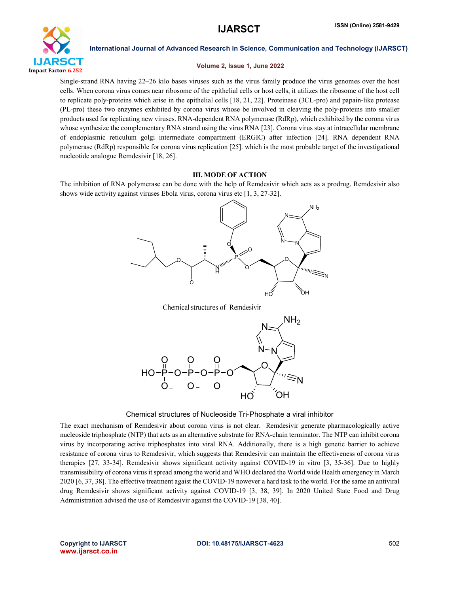

# Volume 2, Issue 1, June 2022

Single-strand RNA having 22–26 kilo bases viruses such as the virus family produce the virus genomes over the host cells. When corona virus comes near ribosome of the epithelial cells or host cells, it utilizes the ribosome of the host cell to replicate poly-proteins which arise in the epithelial cells [18, 21, 22]. Proteinase (3CL-pro) and papain-like protease (PL-pro) these two enzymes exhibited by corona virus whose be involved in cleaving the poly-proteins into smaller products used for replicating new viruses. RNA-dependent RNA polymerase (RdRp), which exhibited by the corona virus whose synthesize the complementary RNA strand using the virus RNA [23]. Corona virus stay at intracellular membrane of endoplasmic reticulum golgi intermediate compartment (ERGIC) after infection [24]. RNA dependent RNA polymerase (RdRp) responsible for corona virus replication [25]. which is the most probable target of the investigational nucleotide analogue Remdesivir [18, 26].

# III. MODE OF ACTION

The inhibition of RNA polymerase can be done with the help of Remdesivir which acts as a prodrug. Remdesivir also shows wide activity against viruses Ebola virus, corona virus etc [1, 3, 27-32].



Chemical structures of Remdesivir



Chemical structures of Nucleoside Tri-Phosphate a viral inhibitor

The exact mechanism of Remdesivir about corona virus is not clear. Remdesivir generate pharmacologically active nucleoside triphosphate (NTP) that acts as an alternative substrate for RNA-chain terminator. The NTP can inhibit corona virus by incorporating active triphosphates into viral RNA. Additionally, there is a high genetic barrier to achieve resistance of corona virus to Remdesivir, which suggests that Remdesivir can maintain the effectiveness of corona virus therapies [27, 33-34]. Remdesivir shows significant activity against COVID-19 in vitro [3, 35-36]. Due to highly transmissibility of corona virus it spread among the world and WHO declared the World wide Health emergency in March 2020 [6, 37, 38]. The effective treatment agaist the COVID-19 nowever a hard task to the world. For the same an antiviral drug Remdesivir shows significant activity against COVID-19 [3, 38, 39]. In 2020 United State Food and Drug Administration advised the use of Remdesivir against the COVID-19 [38, 40].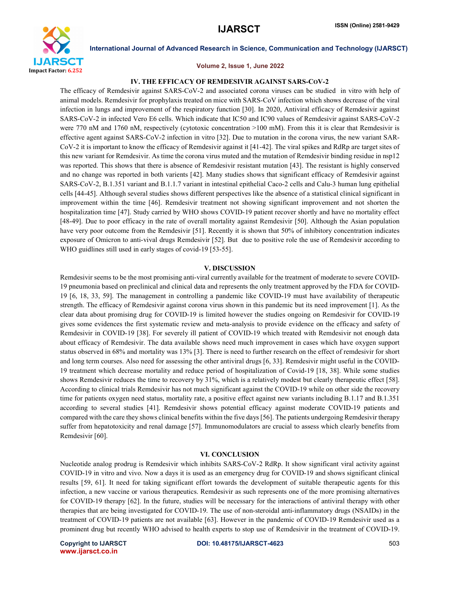

# Volume 2, Issue 1, June 2022

# IV. THE EFFICACY OF REMDESIVIR AGAINST SARS-COV-2

The efficacy of Remdesivir against SARS-CoV-2 and associated corona viruses can be studied in vitro with help of animal models. Remdesivir for prophylaxis treated on mice with SARS-CoV infection which shows decrease of the viral infection in lungs and improvement of the respiratory function [30]. In 2020, Antiviral efficacy of Remdesivir against SARS-CoV-2 in infected Vero E6 cells. Which indicate that IC50 and IC90 values of Remdesivir against SARS-CoV-2 were 770 nM and 1760 nM, respectively (cytotoxic concentration >100 mM). From this it is clear that Remdesivir is effective agent against SARS-CoV-2 infection in vitro [32]. Due to mutation in the corona virus, the new variant SAR-CoV-2 it is important to know the efficacy of Remdesivir against it [41-42]. The viral spikes and RdRp are target sites of this new variant for Remdesivir. As time the corona virus muted and the mutation of Remdesivir binding residue in nsp12 was reported. This shows that there is absence of Remdesivir resistant mutation [43]. The resistant is highly conserved and no change was reported in both varients [42]. Many studies shows that significant efficacy of Remdesivir against SARS-CoV-2, B.1.351 variant and B.1.1.7 variant in intestinal epithelial Caco-2 cells and Calu-3 human lung epithelial cells [44-45]. Although several studies shows different perspectives like the absence of a statistical clinical significant in improvement within the time [46]. Remdesivir treatment not showing significant improvement and not shorten the hospitalization time [47]. Study carried by WHO shows COVID-19 patient recover shortly and have no mortality effect [48-49]. Due to poor efficacy in the rate of overall mortality against Remdesivir [50]. Although the Asian population have very poor outcome from the Remdesivir [51]. Recently it is shown that 50% of inhibitory concentration indicates exposure of Omicron to anti-vival drugs Remdesivir [52]. But due to positive role the use of Remdesivir according to WHO guidlines still used in early stages of covid-19 [53-55].

### V. DISCUSSION

Remdesivir seems to be the most promising anti-viral currently available for the treatment of moderate to severe COVID-19 pneumonia based on preclinical and clinical data and represents the only treatment approved by the FDA for COVID-19 [6, 18, 33, 59]. The management in controlling a pandemic like COVID-19 must have availability of therapeutic strength. The efficacy of Remdesivir against corona virus shown in this pandemic but its need improvement [1]. As the clear data about promising drug for COVID-19 is limited however the studies ongoing on Remdesivir for COVID-19 gives some evidences the first systematic review and meta-analysis to provide evidence on the efficacy and safety of Remdesivir in COVID-19 [38]. For severely ill patient of COVID-19 which treated with Remdesivir not enough data about efficacy of Remdesivir. The data available shows need much improvement in cases which have oxygen support status observed in 68% and mortality was 13% [3]. There is need to further research on the effect of remdesivir for short and long term courses. Also need for assessing the other antiviral drugs [6, 33]. Remdesivir might useful in the COVID-19 treatment which decrease mortality and reduce period of hospitalization of Covid-19 [18, 38]. While some studies shows Remdesivir reduces the time to recovery by 31%, which is a relatively modest but clearly therapeutic effect [58]. According to clinical trials Remdesivir has not much significant against the COVID-19 while on other side the recovery time for patients oxygen need status, mortality rate, a positive effect against new variants including B.1.17 and B.1.351 according to several studies [41]. Remdesivir shows potential efficacy against moderate COVID-19 patients and compared with the care they shows clinical benefits within the five days [56]. The patients undergoing Remdesivir therapy suffer from hepatotoxicity and renal damage [57]. Immunomodulators are crucial to assess which clearly benefits from Remdesivir [60].

### VI. CONCLUSION

Nucleotide analog prodrug is Remdesivir which inhibits SARS-CoV-2 RdRp. It show significant viral activity against COVID-19 in vitro and vivo. Now a days it is used as an emergency drug for COVID-19 and shows significant clinical results [59, 61]. It need for taking significant effort towards the development of suitable therapeutic agents for this infection, a new vaccine or various therapeutics. Remdesivir as such represents one of the more promising alternatives for COVID-19 therapy [62]. In the future, studies will be necessary for the interactions of antiviral therapy with other therapies that are being investigated for COVID-19. The use of non-steroidal anti-inflammatory drugs (NSAIDs) in the treatment of COVID-19 patients are not available [63]. However in the pandemic of COVID-19 Remdesivir used as a prominent drug but recently WHO advised to health experts to stop use of Remdesivir in the treatment of COVID-19.

www.ijarsct.co.in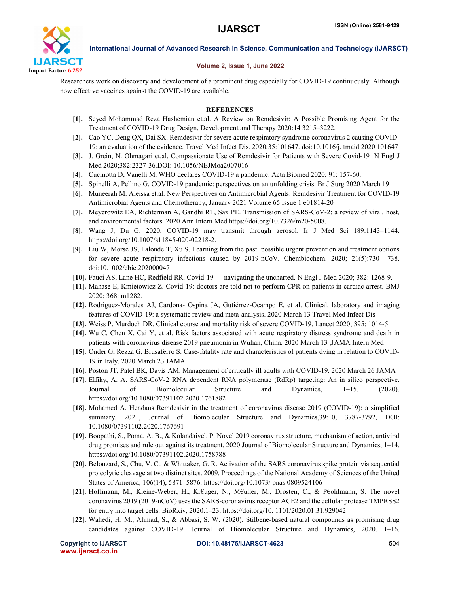

# Volume 2, Issue 1, June 2022

Researchers work on discovery and development of a prominent drug especially for COVID-19 continuously. Although now effective vaccines against the COVID-19 are available.

# **REFERENCES**

- [1]. Seyed Mohammad Reza Hashemian et.al. A Review on Remdesivir: A Possible Promising Agent for the Treatment of COVID-19 Drug Design, Development and Therapy 2020:14 3215–3222.
- [2]. Cao YC, Deng QX, Dai SX. Remdesivir for severe acute respiratory syndrome coronavirus 2 causing COVID-19: an evaluation of the evidence. Travel Med Infect Dis. 2020;35:101647. doi:10.1016/j. tmaid.2020.101647
- [3]. J. Grein, N. Ohmagari et.al. Compassionate Use of Remdesivir for Patients with Severe Covid-19 N Engl J Med 2020;382:2327-36.DOI: 10.1056/NEJMoa2007016
- [4]. Cucinotta D, Vanelli M. WHO declares COVID-19 a pandemic. Acta Biomed 2020; 91: 157-60.
- [5]. Spinelli A, Pellino G. COVID-19 pandemic: perspectives on an unfolding crisis. Br J Surg 2020 March 19
- [6]. Muneerah M. Aleissa et.al. New Perspectives on Antimicrobial Agents: Remdesivir Treatment for COVID-19 Antimicrobial Agents and Chemotherapy, January 2021 Volume 65 Issue 1 e01814-20
- [7]. Meyerowitz EA, Richterman A, Gandhi RT, Sax PE. Transmission of SARS-CoV-2: a review of viral, host, and environmental factors. 2020 Ann Intern Med https://doi.org/10.7326/m20-5008.
- [8]. Wang J, Du G. 2020. COVID-19 may transmit through aerosol. Ir J Med Sci 189:1143–1144. https://doi.org/10.1007/s11845-020-02218-2.
- [9]. Liu W, Morse JS, Lalonde T, Xu S. Learning from the past: possible urgent prevention and treatment options for severe acute respiratory infections caused by 2019-nCoV. Chembiochem. 2020; 21(5):730– 738. doi:10.1002/cbic.202000047
- [10]. Fauci AS, Lane HC, Redfield RR. Covid-19 navigating the uncharted. N Engl J Med 2020; 382: 1268-9.
- [11]. Mahase E, Kmietowicz Z. Covid-19: doctors are told not to perform CPR on patients in cardiac arrest. BMJ 2020; 368: m1282.
- [12]. Rodriguez-Morales AJ, Cardona- Ospina JA, Gutiérrez-Ocampo E, et al. Clinical, laboratory and imaging features of COVID-19: a systematic review and meta-analysis. 2020 March 13 Travel Med Infect Dis
- [13]. Weiss P, Murdoch DR. Clinical course and mortality risk of severe COVID-19. Lancet 2020; 395: 1014-5.
- [14]. Wu C, Chen X, Cai Y, et al. Risk factors associated with acute respiratory distress syndrome and death in patients with coronavirus disease 2019 pneumonia in Wuhan, China. 2020 March 13 ,JAMA Intern Med
- [15]. Onder G, Rezza G, Brusaferro S. Case-fatality rate and characteristics of patients dying in relation to COVID-19 in Italy. 2020 March 23 JAMA
- [16]. Poston JT, Patel BK, Davis AM. Management of critically ill adults with COVID-19. 2020 March 26 JAMA
- [17]. Elfiky, A. A. SARS-CoV-2 RNA dependent RNA polymerase (RdRp) targeting: An in silico perspective. Journal of Biomolecular Structure and Dynamics, 1–15. (2020). https://doi.org/10.1080/07391102.2020.1761882
- [18]. Mohamed A. Hendaus Remdesivir in the treatment of coronavirus disease 2019 (COVID-19): a simplified summary. 2021, Journal of Biomolecular Structure and Dynamics,39:10, 3787-3792, DOI: 10.1080/07391102.2020.1767691
- [19]. Boopathi, S., Poma, A. B., & Kolandaivel, P. Novel 2019 coronavirus structure, mechanism of action, antiviral drug promises and rule out against its treatment. 2020.Journal of Biomolecular Structure and Dynamics, 1–14. https://doi.org/10.1080/07391102.2020.1758788
- [20]. Belouzard, S., Chu, V. C., & Whittaker, G. R. Activation of the SARS coronavirus spike protein via sequential proteolytic cleavage at two distinct sites. 2009. Proceedings of the National Academy of Sciences of the United States of America, 106(14), 5871–5876. https://doi.org/10.1073/ pnas.0809524106
- [21]. Hoffmann, M., Kleine-Weber, H., Kr€uger, N., M€uller, M., Drosten, C., & P€ohlmann, S. The novel coronavirus 2019 (2019-nCoV) uses the SARS-coronavirus receptor ACE2 and the cellular protease TMPRSS2 for entry into target cells. BioRxiv, 2020.1–23. https://doi.org/10. 1101/2020.01.31.929042
- [22]. Wahedi, H. M., Ahmad, S., & Abbasi, S. W. (2020). Stilbene-based natural compounds as promising drug candidates against COVID-19. Journal of Biomolecular Structure and Dynamics, 2020. 1–16.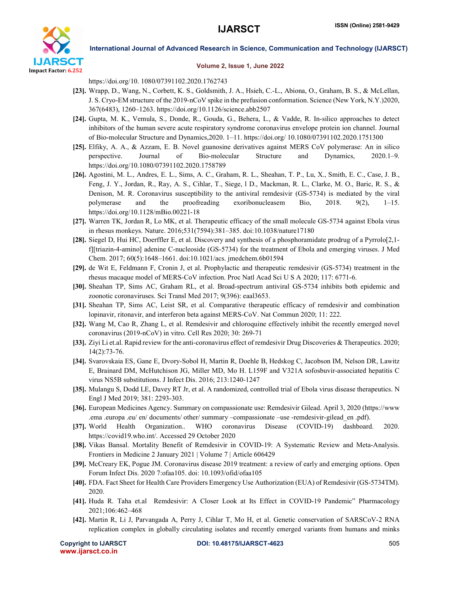

### Volume 2, Issue 1, June 2022

https://doi.org/10. 1080/07391102.2020.1762743

- [23]. Wrapp, D., Wang, N., Corbett, K. S., Goldsmith, J. A., Hsieh, C.-L., Abiona, O., Graham, B. S., & McLellan, J. S. Cryo-EM structure of the 2019-nCoV spike in the prefusion conformation. Science (New York, N.Y.)2020, 367(6483), 1260–1263. https://doi.org/10.1126/science.abb2507
- [24]. Gupta, M. K., Vemula, S., Donde, R., Gouda, G., Behera, L., & Vadde, R. In-silico approaches to detect inhibitors of the human severe acute respiratory syndrome coronavirus envelope protein ion channel. Journal of Bio-molecular Structure and Dynamics,2020. 1–11. https://doi.org/ 10.1080/07391102.2020.1751300
- [25]. Elfiky, A. A., & Azzam, E. B. Novel guanosine derivatives against MERS CoV polymerase: An in silico perspective. Journal of Bio-molecular Structure and Dynamics, 2020.1–9. https://doi.org/10.1080/07391102.2020.1758789
- [26]. Agostini, M. L., Andres, E. L., Sims, A. C., Graham, R. L., Sheahan, T. P., Lu, X., Smith, E. C., Case, J. B., Feng, J. Y., Jordan, R., Ray, A. S., Cihlar, T., Siege, l D., Mackman, R. L., Clarke, M. O., Baric, R. S., & Denison, M. R. Coronavirus susceptibility to the antiviral remdesivir (GS-5734) is mediated by the viral polymerase and the proofreading exoribonucleasem Bio, 2018. 9(2), 1–15. https://doi.org/10.1128/mBio.00221-18
- [27]. Warren TK, Jordan R, Lo MK, et al. Therapeutic efficacy of the small molecule GS-5734 against Ebola virus in rhesus monkeys. Nature. 2016;531(7594):381–385. doi:10.1038/nature17180
- [28]. Siegel D, Hui HC, Doerffler E, et al. Discovery and synthesis of a phosphoramidate prodrug of a Pyrrolo[2,1 f][triazin-4-amino] adenine C-nucleoside (GS-5734) for the treatment of Ebola and emerging viruses. J Med Chem. 2017; 60(5):1648–1661. doi:10.1021/acs. jmedchem.6b01594
- [29]. de Wit E, Feldmann F, Cronin J, et al. Prophylactic and therapeutic remdesivir (GS-5734) treatment in the rhesus macaque model of MERS-CoV infection. Proc Natl Acad Sci U S A 2020; 117: 6771-6.
- [30]. Sheahan TP, Sims AC, Graham RL, et al. Broad-spectrum antiviral GS-5734 inhibits both epidemic and zoonotic coronaviruses. Sci Transl Med 2017; 9(396): eaal3653.
- [31]. Sheahan TP, Sims AC, Leist SR, et al. Comparative therapeutic efficacy of remdesivir and combination lopinavir, ritonavir, and interferon beta against MERS-CoV. Nat Commun 2020; 11: 222.
- [32]. Wang M, Cao R, Zhang L, et al. Remdesivir and chloroquine effectively inhibit the recently emerged novel coronavirus (2019-nCoV) in vitro. Cell Res 2020; 30: 269-71
- [33]. Ziyi Li et.al. Rapid review for the anti-coronavirus effect of remdesivir Drug Discoveries & Therapeutics. 2020; 14(2):73-76.
- [34]. Svarovskaia ES, Gane E, Dvory-Sobol H, Martin R, Doehle B, Hedskog C, Jacobson IM, Nelson DR, Lawitz E, Brainard DM, McHutchison JG, Miller MD, Mo H. L159F and V321A sofosbuvir-associated hepatitis C virus NS5B substitutions. J Infect Dis. 2016; 213:1240-1247
- [35]. Mulangu S, Dodd LE, Davey RT Jr, et al. A randomized, controlled trial of Ebola virus disease therapeutics. N Engl J Med 2019; 381: 2293-303.
- [36]. European Medicines Agency. Summary on compassionate use: Remdesivir Gilead. April 3, 2020 (https://www .ema .europa .eu/ en/ documents/ other/ summary –compassionate –use -remdesivir-gilead\_en .pdf).
- [37]. World Health Organization.. WHO coronavirus Disease (COVID-19) dashboard. 2020. https://covid19.who.int/. Accessed 29 October 2020
- [38]. Vikas Bansal. Mortality Benefit of Remdesivir in COVID-19: A Systematic Review and Meta-Analysis. Frontiers in Medicine 2 January 2021 | Volume 7 | Article 606429
- [39]. McCreary EK, Pogue JM. Coronavirus disease 2019 treatment: a review of early and emerging options. Open Forum Infect Dis. 2020 7:ofaa105. doi: 10.1093/ofid/ofaa105
- [40]. FDA. Fact Sheet for Health Care Providers Emergency Use Authorization (EUA) of Remdesivir (GS-5734TM). 2020.
- [41]. Huda R. Taha et.al Remdesivir: A Closer Look at Its Effect in COVID-19 Pandemic" Pharmacology 2021;106:462–468
- [42]. Martin R, Li J, Parvangada A, Perry J, Cihlar T, Mo H, et al. Genetic conservation of SARSCoV-2 RNA replication complex in globally circulating isolates and recently emerged variants from humans and minks